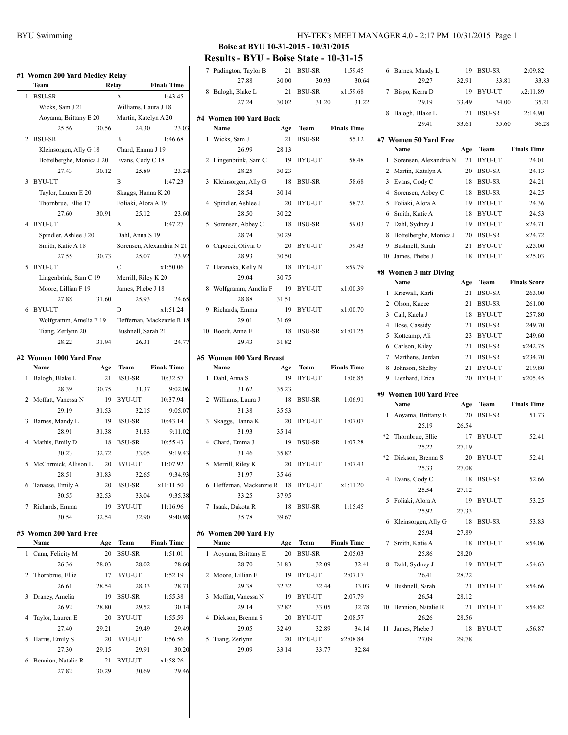## **#1 Women 200 Yard Medley Relay Team Relay Finals Time** 1 BSU-SR A 1:43.45 Wicks, Sam J 21 Williams, Laura J 18 Aoyama, Brittany E 20 Martin, Katelyn A 20 25.56 30.56 24.30 23.03 2 BSU-SR B 1:46.68 Kleinsorgen, Ally G 18 Chard, Emma J 19 Bottelberghe, Monica J 20 Evans, Cody C 18 27.43 30.12 25.89 23.24 3 BYU-UT B 1:47.23 Taylor, Lauren E 20 Skaggs, Hanna K 20 Thornbrue, Ellie 17 Foliaki, Alora A 19 27.60 30.91 25.12 23.60 4 BYU-UT A 1:47.27 Spindler, Ashlee J 20 Dahl, Anna S 19 Smith, Katie A 18 Sorensen, Alexandria N 21 27.55 30.73 25.07 23.92 5 BYU-UT C x1:50.06 Lingenbrink, Sam C 19 Merrill, Riley K 20 Moore, Lillian F 19 James, Phebe J 18 27.88 31.60 25.93 24.65 6 BYU-UT D x1:51.24 Wolfgramm, Amelia F 19 Heffernan, Mackenzie R 18 Tiang, Zerlynn 20 Bushnell, Sarah 21

#### **#2 Women 1000 Yard Free**

|   | Name                   | Age   | Team   | <b>Finals Time</b> |
|---|------------------------|-------|--------|--------------------|
|   | 1 Balogh, Blake L      | 21    | BSU-SR | 10:32.57           |
|   | 28.39                  | 30.75 | 31.37  | 9:02.06            |
|   | 2 Moffatt, Vanessa N   | 19    | BYU-UT | 10:37.94           |
|   | 29.19                  | 31.53 | 32.15  | 9:05.07            |
| 3 | Barnes, Mandy L        | 19    | BSU-SR | 10:43.14           |
|   | 28.91                  | 31.38 | 31.83  | 9:11.02            |
|   | 4 Mathis, Emily D      | 18    | BSU-SR | 10:55.43           |
|   | 30.23                  | 32.72 | 33.05  | 9:19.43            |
|   | 5 McCormick, Allison L | 20    | BYU-UT | 11:07.92           |
|   | 28.51                  | 31.83 | 32.65  | 9:34.93            |
|   | 6 Tanasse, Emily A     | 20    | BSU-SR | x11:11.50          |
|   | 30.55                  | 32.53 | 33.04  | 9:35.38            |
|   | 7 Richards, Emma       | 19    | BYU-UT | 11:16.96           |
|   | 30.54                  | 32.54 | 32.90  | 9:40.98            |

28.22 31.94 26.31 24.77

#### **#3 Women 200 Yard Free**

|    | Name               | Age   | <b>Team</b>   | <b>Finals Time</b> |
|----|--------------------|-------|---------------|--------------------|
| 1  | Cann, Felicity M   | 20    | <b>BSU-SR</b> | 1:51.01            |
|    | 26.36              | 28.03 | 28.02         | 28.60              |
|    | 2 Thornbrue, Ellie | 17    | <b>BYU-UT</b> | 1:52.19            |
|    | 26.61              | 28.54 | 28.33         | 28.71              |
| 3  | Draney, Amelia     | 19    | <b>BSU-SR</b> | 1:55.38            |
|    | 26.92              | 28.80 | 29.52         | 30.14              |
| 4  | Taylor, Lauren E   | 20    | <b>BYU-UT</b> | 1:55.59            |
|    | 27.40              | 29.21 | 29.49         | 29.49              |
| 5. | Harris, Emily S    | 20    | BYU-UT        | 1:56.56            |
|    | 27.30              | 29.15 | 29.91         | 30.20              |
| 6. | Bennion, Natalie R | 21    | <b>BYU-UT</b> | x1:58.26           |
|    | 27.82              | 30.29 | 30.69         | 29.46              |
|    |                    |       |               |                    |

### BYU Swimming HY-TEK's MEET MANAGER 4.0 - 2:17 PM 10/31/2015 Page 1

# **Boise at BYU 10-31-2015 - 10/31/2015**

**Results - BYU - Boise State - 10-31-15**

| 7              | Padington, Taylor B                | 21    | <b>BSU-SR</b> | 1:59.45            |
|----------------|------------------------------------|-------|---------------|--------------------|
|                | 27.88                              | 30.00 | 30.93         | 30.64              |
| 8              | Balogh, Blake L                    |       | 21 BSU-SR     | x1:59.68           |
|                | 27.24                              | 30.02 | 31.20         | 31.22              |
|                |                                    |       |               |                    |
|                | #4  Women 100 Yard Back            |       |               |                    |
|                | Name                               | Age   | Team          | <b>Finals Time</b> |
| 1              | Wicks, Sam J                       | 21    | <b>BSU-SR</b> | 55.12              |
|                | 26.99                              | 28.13 |               |                    |
| 2              | Lingenbrink, Sam C                 | 19    | BYU-UT        | 58.48              |
|                | 28.25                              | 30.23 |               |                    |
| 3              | Kleinsorgen, Ally G                | 18    | <b>BSU-SR</b> | 58.68              |
|                | 28.54                              | 30.14 |               |                    |
| $\overline{4}$ | Spindler, Ashlee J                 | 20    | BYU-UT        | 58.72              |
|                | 28.50                              |       |               |                    |
|                |                                    | 30.22 |               |                    |
| 5              | Sorensen, Abbey C                  | 18    | <b>BSU-SR</b> | 59.03              |
|                | 28.74                              | 30.29 |               |                    |
| 6              | Capocci, Olivia O                  | 20    | BYU-UT        | 59.43              |
|                | 28.93                              | 30.50 |               |                    |
| 7              | Hatanaka, Kelly N                  | 18    | BYU-UT        | x59.79             |
|                | 29.04                              | 30.75 |               |                    |
| 8              | Wolfgramm, Amelia F                | 19    | BYU-UT        | x1:00.39           |
|                | 28.88                              | 31.51 |               |                    |
| 9              | Richards, Emma                     | - 19  | BYU-UT        | x1:00.70           |
|                | 29.01                              | 31.69 |               |                    |
|                | 10 Boodt, Anne E                   | 18    | BSU-SR        | x1:01.25           |
|                | 29.43                              | 31.82 |               |                    |
|                |                                    |       |               |                    |
|                | #5  Women 100 Yard Breast          |       |               |                    |
|                | Name                               | Age   | Team          | <b>Finals Time</b> |
| 1              | Dahl, Anna S                       | 19    | BYU-UT        | 1:06.85            |
|                | 31.62                              | 35.23 |               |                    |
| 2              | Williams, Laura J                  | 18    | <b>BSU-SR</b> | 1:06.91            |
|                | 31.38                              | 35.53 |               |                    |
| 3              | Skaggs, Hanna K                    | 20    | BYU-UT        | 1:07.07            |
|                | 31.93                              | 35.14 |               |                    |
| $\overline{4}$ | Chard, Emma J                      | 19    | BSU-SR        | 1:07.28            |
|                | 31.46                              | 35.82 |               |                    |
| 5              | Merrill, Riley K                   | 20    | BYU-UT        | 1:07.43            |
|                | 31.97                              | 35.46 |               |                    |
|                | 6 Heffernan, Mackenzie R 18 BYU-UT |       |               | x1:11.20           |
|                | 33.25                              | 37.95 |               |                    |
|                | 7 Isaak, Dakota R                  | 18    | <b>BSU-SR</b> | 1:15.45            |
|                |                                    |       |               |                    |
|                | 35.78                              | 39.67 |               |                    |
|                | #6  Women 200 Yard Fly             |       |               |                    |
|                | Name                               | Age   | Team          | <b>Finals Time</b> |
| 1              | Aoyama, Brittany E                 | 20    | <b>BSU-SR</b> | 2:05.03            |
|                | 28.70                              | 31.83 | 32.09         | 32.41              |
| 2              | Moore, Lillian F                   | 19    | <b>BYU-UT</b> | 2:07.17            |
|                | 29.38                              | 32.32 | 32.44         | 33.03              |
| 3              | Moffatt, Vanessa N                 | 19    | <b>BYU-UT</b> | 2:07.79            |
|                | 29.14                              | 32.82 | 33.05         | 32.78              |
|                |                                    |       |               |                    |
| 4              | Dickson, Brenna S                  | 20    | BYU-UT        | 2:08.57            |
|                | 29.05                              | 32.49 | 32.89         | 34.14              |
| 5              | Tiang, Zerlynn                     | 20    | BYU-UT        | x2:08.84           |
|                | 29.09                              | 33.14 | 33.77         | 32.84              |

|                | 29.27                   | 32.91 | 33.81         | 33.83               |
|----------------|-------------------------|-------|---------------|---------------------|
| 7              | Bispo, Kerra D          | 19    | BYU-UT        | x2:11.89            |
|                | 29.19                   | 33.49 | 34.00         | 35.21               |
| 8              | Balogh, Blake L         | 21    | <b>BSU-SR</b> | 2:14.90             |
|                | 29.41                   | 33.61 | 35.60         | 36.28               |
|                | #7 Women 50 Yard Free   |       |               |                     |
|                | Name                    | Age   | Team          | <b>Finals Time</b>  |
| 1              | Sorensen, Alexandria N  | 21    | <b>BYU-UT</b> | 24.01               |
| 2              | Martin, Katelyn A       | 20    | <b>BSU-SR</b> | 24.13               |
| 3              | Evans, Cody C           | 18    | <b>BSU-SR</b> | 24.21               |
| 4              | Sorensen, Abbey C       | 18    | <b>BSU-SR</b> | 24.25               |
| 5              | Foliaki, Alora A        | 19    | BYU-UT        | 24.36               |
| 6              | Smith, Katie A          | 18    | <b>BYU-UT</b> | 24.53               |
| 7              | Dahl, Sydney J          | 19    | BYU-UT        | x24.71              |
| 8              | Bottelberghe, Monica J  | 20    | <b>BSU-SR</b> | x24.72              |
| 9              | Bushnell, Sarah         | 21    | <b>BYU-UT</b> | x25.00              |
| 10             | James, Phebe J          | 18    | <b>BYU-UT</b> | x25.03              |
|                |                         |       |               |                     |
|                | #8 Women 3 mtr Diving   |       |               |                     |
|                | Name                    | Age   | Team          | <b>Finals Score</b> |
| 1              | Kriewall, Karli         | 21    | <b>BSU-SR</b> | 263.00              |
| 2              | Olson, Kacee            | 21    | <b>BSU-SR</b> | 261.00              |
| 3              | Call, Kaela J           | 18    | BYU-UT        | 257.80              |
| 4              | Bose, Cassidy           | 21    | <b>BSU-SR</b> | 249.70              |
| 5              | Kottcamp, Ali           | 23    | BYU-UT        | 249.60              |
| 6              | Carlson, Kiley          | 21    | <b>BSU-SR</b> | x242.75             |
| 7              | Marthens, Jordan        | 21    | <b>BSU-SR</b> | x234.70             |
| 8              | Johnson, Shelby         | 21    | BYU-UT        | 219.80              |
| 9              | Lienhard, Erica         | 20    | <b>BYU-UT</b> | x205.45             |
|                | #9  Women 100 Yard Free |       |               |                     |
|                | Name                    | Age   | Team          | <b>Finals Time</b>  |
| 1              | Aoyama, Brittany E      | 20    | <b>BSU-SR</b> | 51.73               |
|                | 25.19                   | 26.54 |               |                     |
| $*2$           | Thornbrue, Ellie        | 17    | <b>BYU-UT</b> | 52.41               |
|                | 25.22                   | 27.19 |               |                     |
| *2             | Dickson, Brenna S       | 20    | <b>BYU-UT</b> | 52.41               |
|                | 25.33                   | 27.08 |               |                     |
| $\overline{4}$ | Evans, Cody C           | 18    | <b>BSU-SR</b> | 52.66               |
|                | 25.54                   | 27.12 |               |                     |
| 5              | Foliaki, Alora A        | 19    | BYU-UT        | 53.25               |
|                | 25.92                   | 27.33 |               |                     |
| 6              | Kleinsorgen, Ally G     | 18    | BSU-SR        | 53.83               |
|                | 25.94                   | 27.89 |               |                     |
| 7              | Smith, Katie A          | 18    | BYU-UT        | x54.06              |
|                | 25.86                   | 28.20 |               |                     |
| 8              | Dahl, Sydney J          | 19    | BYU-UT        | x54.63              |
|                | 26.41                   | 28.22 |               |                     |
| 9              | Bushnell, Sarah         | 21    | BYU-UT        | x54.66              |
|                | 26.54                   | 28.12 |               |                     |
| 10             | Bennion, Natalie R      | 21    | BYU-UT        | x54.82              |
|                | 26.26                   | 28.56 |               |                     |
| 11             | James, Phebe J          | 18    | BYU-UT        | x56.87              |
|                | 27.09                   | 29.78 |               |                     |
|                |                         |       |               |                     |
|                |                         |       |               |                     |

6 Barnes, Mandy L 19 BSU-SR 2:09.82